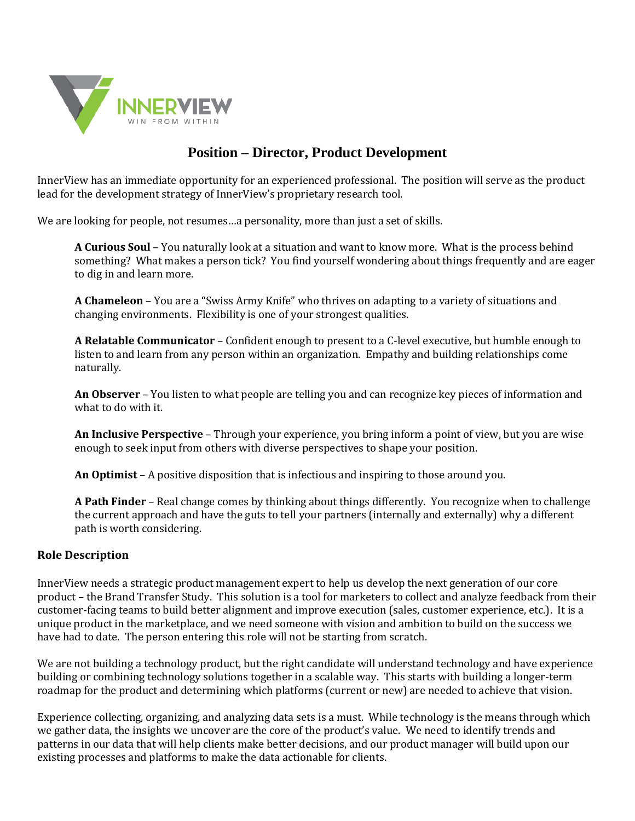

# **Position – Director, Product Development**

InnerView has an immediate opportunity for an experienced professional. The position will serve as the product lead for the development strategy of InnerView's proprietary research tool.

We are looking for people, not resumes…a personality, more than just a set of skills.

**A Curious Soul** – You naturally look at a situation and want to know more. What is the process behind something? What makes a person tick? You find yourself wondering about things frequently and are eager to dig in and learn more.

**A Chameleon** – You are a "Swiss Army Knife" who thrives on adapting to a variety of situations and changing environments. Flexibility is one of your strongest qualities.

**A Relatable Communicator** – Confident enough to present to a C-level executive, but humble enough to listen to and learn from any person within an organization. Empathy and building relationships come naturally.

**An Observer** – You listen to what people are telling you and can recognize key pieces of information and what to do with it.

**An Inclusive Perspective** – Through your experience, you bring inform a point of view, but you are wise enough to seek input from others with diverse perspectives to shape your position.

**An Optimist** – A positive disposition that is infectious and inspiring to those around you.

**A Path Finder** – Real change comes by thinking about things differently. You recognize when to challenge the current approach and have the guts to tell your partners (internally and externally) why a different path is worth considering.

#### **Role Description**

InnerView needs a strategic product management expert to help us develop the next generation of our core product – the Brand Transfer Study. This solution is a tool for marketers to collect and analyze feedback from their customer-facing teams to build better alignment and improve execution (sales, customer experience, etc.). It is a unique product in the marketplace, and we need someone with vision and ambition to build on the success we have had to date. The person entering this role will not be starting from scratch.

We are not building a technology product, but the right candidate will understand technology and have experience building or combining technology solutions together in a scalable way. This starts with building a longer-term roadmap for the product and determining which platforms (current or new) are needed to achieve that vision.

Experience collecting, organizing, and analyzing data sets is a must. While technology is the means through which we gather data, the insights we uncover are the core of the product's value. We need to identify trends and patterns in our data that will help clients make better decisions, and our product manager will build upon our existing processes and platforms to make the data actionable for clients.